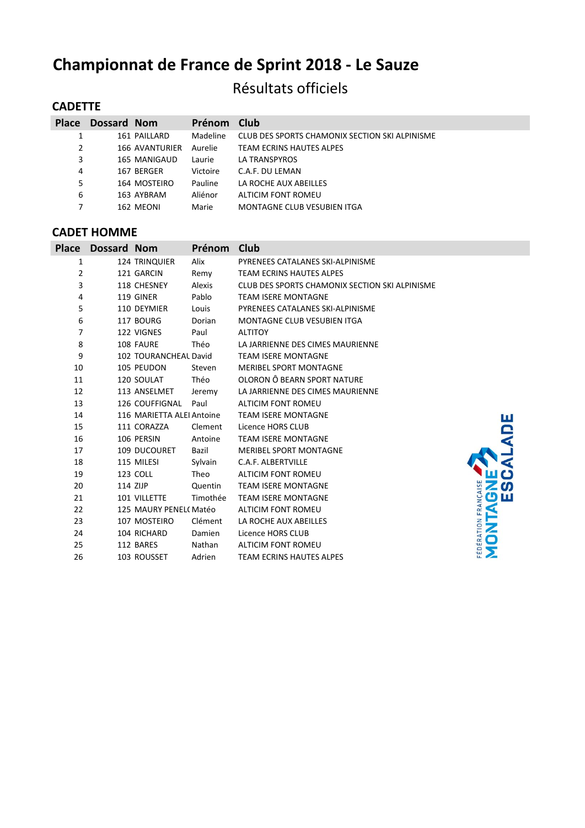# **Championnat de France de Sprint 2018 - Le Sauze**

## Résultats officiels

## **CADETTE**

| <b>Place</b> | <b>Dossard Nom</b> |                | Prénom   | Club                                           |
|--------------|--------------------|----------------|----------|------------------------------------------------|
| 1            |                    | 161 PAILLARD   | Madeline | CLUB DES SPORTS CHAMONIX SECTION SKI ALPINISME |
| 2            |                    | 166 AVANTURIER | Aurelie  | TEAM ECRINS HAUTES ALPES                       |
| 3            |                    | 165 MANIGAUD   | Laurie   | LA TRANSPYROS                                  |
| 4            |                    | 167 BERGER     | Victoire | C.A.F. DU LEMAN                                |
| 5            |                    | 164 MOSTEIRO   | Pauline  | LA ROCHE AUX ABEILLES                          |
| 6            |                    | 163 AYBRAM     | Aliénor  | ALTICIM FONT ROMEU                             |
| 7            |                    | 162 MEONI      | Marie    | MONTAGNE CLUB VESUBIEN ITGA                    |

#### **CADET HOMME**

| <b>Place</b> | Dossard Nom |                           | <b>Prénom</b> | Club                                           |                                         |
|--------------|-------------|---------------------------|---------------|------------------------------------------------|-----------------------------------------|
| 1            |             | <b>124 TRINQUIER</b>      | Alix          | PYRENEES CATALANES SKI-ALPINISME               |                                         |
| 2            |             | 121 GARCIN                | Remy          | <b>TEAM ECRINS HAUTES ALPES</b>                |                                         |
| 3            |             | 118 CHESNEY               | Alexis        | CLUB DES SPORTS CHAMONIX SECTION SKI ALPINISME |                                         |
| 4            |             | 119 GINER                 | Pablo         | <b>TEAM ISERE MONTAGNE</b>                     |                                         |
| 5            |             | 110 DEYMIER               | Louis         | PYRENEES CATALANES SKI-ALPINISME               |                                         |
| 6            |             | 117 BOURG                 | Dorian        | MONTAGNE CLUB VESUBIEN ITGA                    |                                         |
| 7            |             | 122 VIGNES                | Paul          | <b>ALTITOY</b>                                 |                                         |
| 8            |             | 108 FAURE                 | Théo          | LA JARRIENNE DES CIMES MAURIENNE               |                                         |
| 9            |             | 102 TOURANCHEAL David     |               | <b>TEAM ISERE MONTAGNE</b>                     |                                         |
| 10           |             | 105 PEUDON                | Steven        | <b>MERIBEL SPORT MONTAGNE</b>                  |                                         |
| 11           |             | 120 SOULAT                | Théo          | OLORON Ô BEARN SPORT NATURE                    |                                         |
| 12           |             | 113 ANSELMET              | Jeremy        | LA JARRIENNE DES CIMES MAURIENNE               |                                         |
| 13           |             | 126 COUFFIGNAL            | Paul          | <b>ALTICIM FONT ROMEU</b>                      |                                         |
| 14           |             | 116 MARIETTA ALEI Antoine |               | <b>TEAM ISERE MONTAGNE</b>                     | ш                                       |
| 15           |             | 111 CORAZZA               | Clement       | Licence HORS CLUB                              |                                         |
| 16           |             | 106 PERSIN                | Antoine       | <b>TEAM ISERE MONTAGNE</b>                     |                                         |
| 17           |             | 109 DUCOURET              | Bazil         | <b>MERIBEL SPORT MONTAGNE</b>                  |                                         |
| 18           |             | 115 MILESI                | Sylvain       | C.A.F. ALBERTVILLE                             |                                         |
| 19           |             | 123 COLL                  | Theo          | <b>ALTICIM FONT ROMEU</b>                      |                                         |
| 20           |             | 114 ZIJP                  | Quentin       | <b>TEAM ISERE MONTAGNE</b>                     | <b>S</b>                                |
| 21           |             | 101 VILLETTE              | Timothée      | <b>TEAM ISERE MONTAGNE</b>                     | மய                                      |
| 22           |             | 125 MAURY PENEL(Matéo     |               | ALTICIM FONT ROMEU                             |                                         |
| 23           |             | 107 MOSTEIRO              | Clément       | LA ROCHE AUX ABEILLES                          | Z                                       |
| 24           |             | 104 RICHARD               | Damien        | Licence HORS CLUB                              | FÉDÉRATION FRANÇAIS<br>$\mathbf \Omega$ |
| 25           |             | 112 BARES                 | Nathan        | <b>ALTICIM FONT ROMEU</b>                      |                                         |
| 26           |             | 103 ROUSSET               | Adrien        | <b>TEAM ECRINS HAUTES ALPES</b>                |                                         |